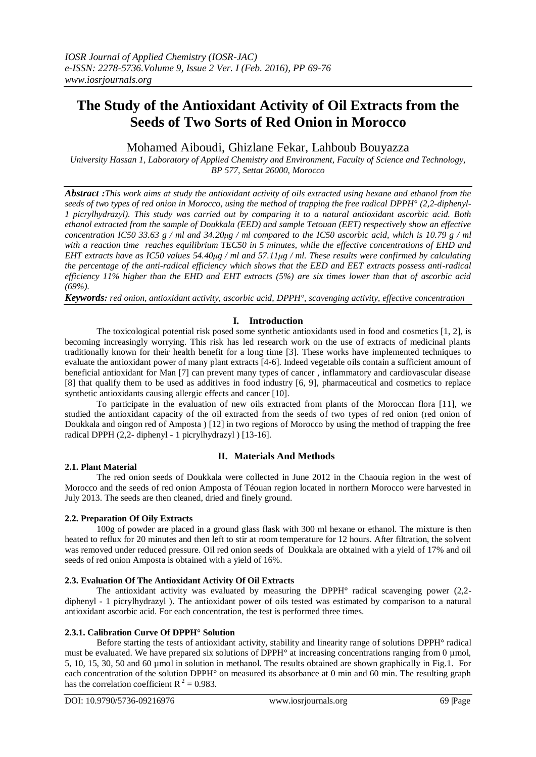# **The Study of the Antioxidant Activity of Oil Extracts from the Seeds of Two Sorts of Red Onion in Morocco**

## Mohamed Aiboudi, Ghizlane Fekar, Lahboub Bouyazza

*University Hassan 1, Laboratory of Applied Chemistry and Environment, Faculty of Science and Technology, BP 577, Settat 26000, Morocco*

*Abstract :This work aims at study the antioxidant activity of oils extracted using hexane and ethanol from the seeds of two types of red onion in Morocco, using the method of trapping the free radical DPPH° (2,2-diphenyl-1 picrylhydrazyl). This study was carried out by comparing it to a natural antioxidant ascorbic acid. Both ethanol extracted from the sample of Doukkala (EED) and sample Tetouan (EET) respectively show an effective concentration IC50 33.63 g / ml and 34.20μg / ml compared to the IC50 ascorbic acid, which is 10.79 g / ml with a reaction time reaches equilibrium TEC50 in 5 minutes, while the effective concentrations of EHD and EHT extracts have as IC50 values 54.40μg / ml and 57.11μg / ml. These results were confirmed by calculating the percentage of the anti-radical efficiency which shows that the EED and EET extracts possess anti-radical efficiency 11% higher than the EHD and EHT extracts (5%) are six times lower than that of ascorbic acid (69%).*

*Keywords: red onion, antioxidant activity, ascorbic acid, DPPH°, scavenging activity, effective concentration*

## **I. Introduction**

The toxicological potential risk posed some synthetic antioxidants used in food and cosmetics [1, 2], is becoming increasingly worrying. This risk has led research work on the use of extracts of medicinal plants traditionally known for their health benefit for a long time [3]. These works have implemented techniques to evaluate the antioxidant power of many plant extracts [4-6]. Indeed vegetable oils contain a sufficient amount of beneficial antioxidant for Man [7] can prevent many types of cancer , inflammatory and cardiovascular disease [8] that qualify them to be used as additives in food industry [6, 9], pharmaceutical and cosmetics to replace synthetic antioxidants causing allergic effects and cancer [10].

To participate in the evaluation of new oils extracted from plants of the Moroccan flora [11], we studied the antioxidant capacity of the oil extracted from the seeds of two types of red onion (red onion of Doukkala and oingon red of Amposta ) [12] in two regions of Morocco by using the method of trapping the free radical DPPH (2,2- diphenyl - 1 picrylhydrazyl ) [13-16].

## **II. Materials And Methods**

#### **2.1. Plant Material**

The red onion seeds of Doukkala were collected in June 2012 in the Chaouia region in the west of Morocco and the seeds of red onion Amposta of Téouan region located in northern Morocco were harvested in July 2013. The seeds are then cleaned, dried and finely ground.

## **2.2. Preparation Of Oily Extracts**

100g of powder are placed in a ground glass flask with 300 ml hexane or ethanol. The mixture is then heated to reflux for 20 minutes and then left to stir at room temperature for 12 hours. After filtration, the solvent was removed under reduced pressure. Oil red onion seeds of Doukkala are obtained with a yield of 17% and oil seeds of red onion Amposta is obtained with a yield of 16%.

## **2.3. Evaluation Of The Antioxidant Activity Of Oil Extracts**

The antioxidant activity was evaluated by measuring the DPPH° radical scavenging power (2,2 diphenyl - 1 picrylhydrazyl ). The antioxidant power of oils tested was estimated by comparison to a natural antioxidant ascorbic acid. For each concentration, the test is performed three times.

## **2.3.1. Calibration Curve Of DPPH° Solution**

Before starting the tests of antioxidant activity, stability and linearity range of solutions DPPH° radical must be evaluated. We have prepared six solutions of DPPH° at increasing concentrations ranging from 0 µmol, 5, 10, 15, 30, 50 and 60 µmol in solution in methanol. The results obtained are shown graphically in Fig.1. For each concentration of the solution DPPH° on measured its absorbance at 0 min and 60 min. The resulting graph has the correlation coefficient  $R^2 = 0.983$ .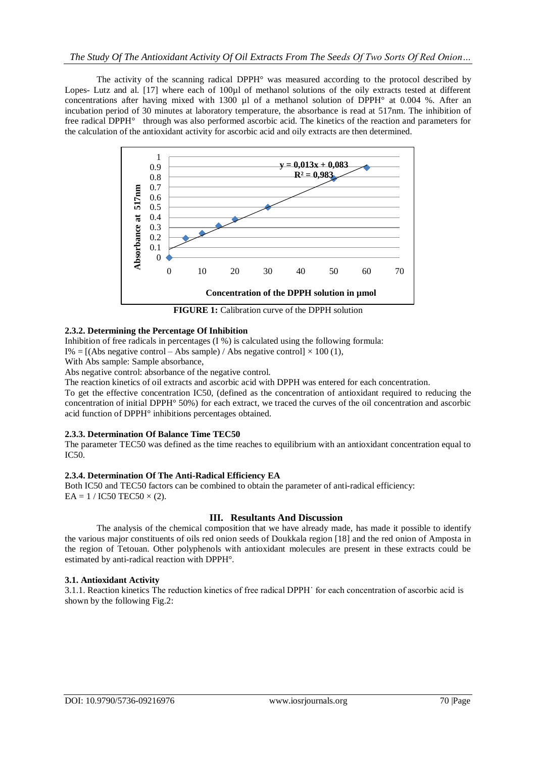The activity of the scanning radical DPPH° was measured according to the protocol described by Lopes- Lutz and al. [17] where each of 100µl of methanol solutions of the oily extracts tested at different concentrations after having mixed with 1300  $\mu$ l of a methanol solution of DPPH° at 0.004 %. After an incubation period of 30 minutes at laboratory temperature, the absorbance is read at 517nm. The inhibition of free radical DPPH° through was also performed ascorbic acid. The kinetics of the reaction and parameters for the calculation of the antioxidant activity for ascorbic acid and oily extracts are then determined.



### **2.3.2. Determining the Percentage Of Inhibition**

Inhibition of free radicals in percentages (I %) is calculated using the following formula:

I% = [(Abs negative control – Abs sample) / Abs negative control]  $\times$  100 (1),

With Abs sample: Sample absorbance,

Abs negative control: absorbance of the negative control.

The reaction kinetics of oil extracts and ascorbic acid with DPPH was entered for each concentration.

To get the effective concentration IC50, (defined as the concentration of antioxidant required to reducing the concentration of initial DPPH° 50%) for each extract, we traced the curves of the oil concentration and ascorbic acid function of DPPH° inhibitions percentages obtained.

#### **2.3.3. Determination Of Balance Time TEC50**

The parameter TEC50 was defined as the time reaches to equilibrium with an antioxidant concentration equal to IC50.

#### **2.3.4. Determination Of The Anti-Radical Efficiency EA**

Both IC50 and TEC50 factors can be combined to obtain the parameter of anti-radical efficiency:  $EA = 1 / IC50 TEC50 \times (2)$ .

## **III. Resultants And Discussion**

The analysis of the chemical composition that we have already made, has made it possible to identify the various major constituents of oils red onion seeds of Doukkala region [18] and the red onion of Amposta in the region of Tetouan. Other polyphenols with antioxidant molecules are present in these extracts could be estimated by anti-radical reaction with DPPH°.

#### **3.1. Antioxidant Activity**

3.1.1. Reaction kinetics The reduction kinetics of free radical DPPH˙ for each concentration of ascorbic acid is shown by the following Fig.2: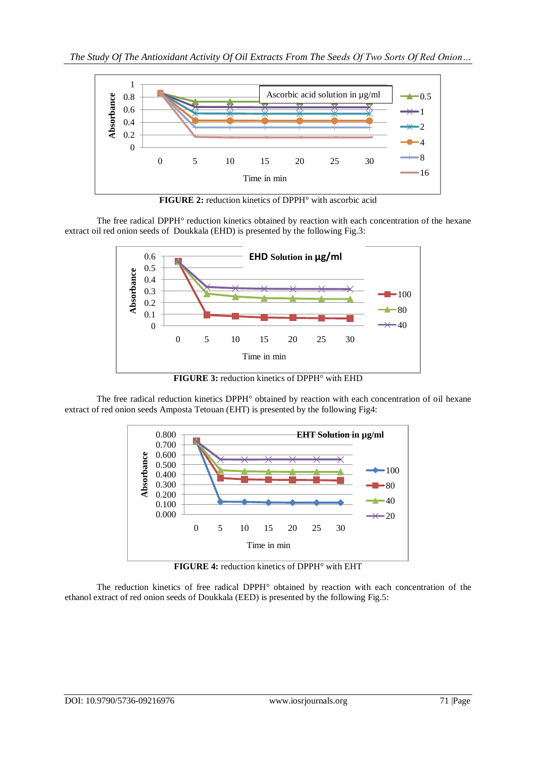

**FIGURE 2:** reduction kinetics of DPPH° with ascorbic acid

The free radical DPPH° reduction kinetics obtained by reaction with each concentration of the hexane extract oil red onion seeds of Doukkala (EHD) is presented by the following Fig.3:



**FIGURE 3:** reduction kinetics of DPPH° with EHD

The free radical reduction kinetics DPPH° obtained by reaction with each concentration of oil hexane extract of red onion seeds Amposta Tetouan (EHT) is presented by the following Fig4:



**FIGURE 4:** reduction kinetics of DPPH° with EHT

The reduction kinetics of free radical DPPH° obtained by reaction with each concentration of the ethanol extract of red onion seeds of Doukkala (EED) is presented by the following Fig.5: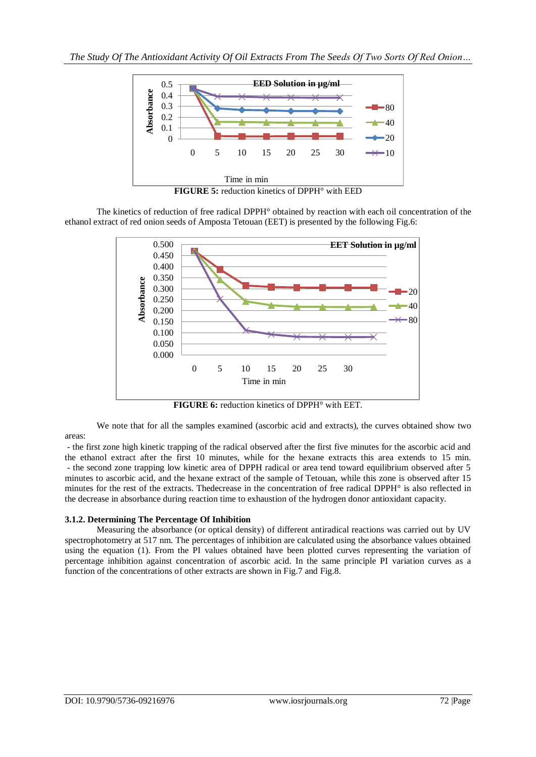

The kinetics of reduction of free radical DPPH° obtained by reaction with each oil concentration of the ethanol extract of red onion seeds of Amposta Tetouan (EET) is presented by the following Fig.6:



**FIGURE 6:** reduction kinetics of DPPH° with EET*.*

We note that for all the samples examined (ascorbic acid and extracts), the curves obtained show two areas:

- the first zone high kinetic trapping of the radical observed after the first five minutes for the ascorbic acid and the ethanol extract after the first 10 minutes, while for the hexane extracts this area extends to 15 min. - the second zone trapping low kinetic area of DPPH radical or area tend toward equilibrium observed after 5 minutes to ascorbic acid, and the hexane extract of the sample of Tetouan, while this zone is observed after 15 minutes for the rest of the extracts. Thedecrease in the concentration of free radical DPPH° is also reflected in the decrease in absorbance during reaction time to exhaustion of the hydrogen donor antioxidant capacity.

## **3.1.2. Determining The Percentage Of Inhibition**

Measuring the absorbance (or optical density) of different antiradical reactions was carried out by UV spectrophotometry at 517 nm. The percentages of inhibition are calculated using the absorbance values obtained using the equation (1). From the PI values obtained have been plotted curves representing the variation of percentage inhibition against concentration of ascorbic acid. In the same principle PI variation curves as a function of the concentrations of other extracts are shown in Fig.7 and Fig.8.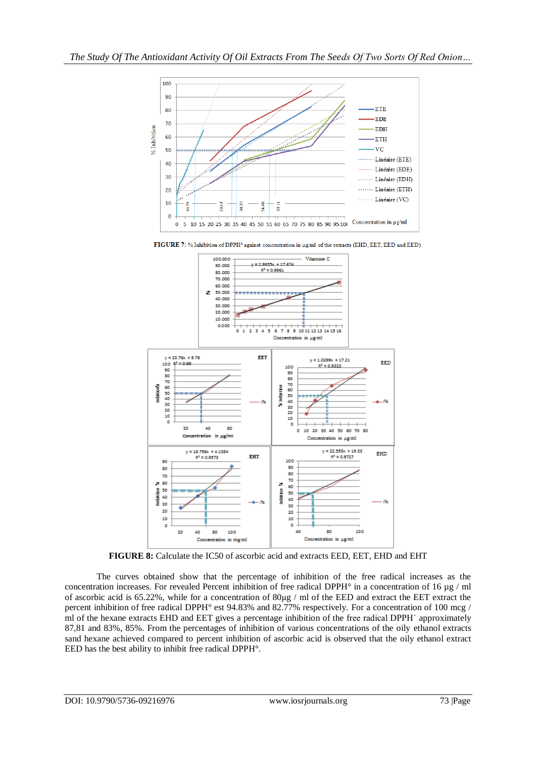

FIGURE 7: % Inhibition of DPPH° against concentration in µg/ml of the extracts (EHD, EET, EED and EED)



**FIGURE 8:** Calculate the IC50 of ascorbic acid and extracts EED, EET, EHD and EHT

The curves obtained show that the percentage of inhibition of the free radical increases as the concentration increases. For revealed Percent inhibition of free radical DPPH° in a concentration of 16 µg / ml of ascorbic acid is 65.22%, while for a concentration of 80μg / ml of the EED and extract the EET extract the percent inhibition of free radical DPPH° est 94.83% and 82.77% respectively. For a concentration of 100 mcg / ml of the hexane extracts EHD and EET gives a percentage inhibition of the free radical DPPH˙ approximately 87,81 and 83%, 85%. From the percentages of inhibition of various concentrations of the oily ethanol extracts sand hexane achieved compared to percent inhibition of ascorbic acid is observed that the oily ethanol extract EED has the best ability to inhibit free radical DPPH°.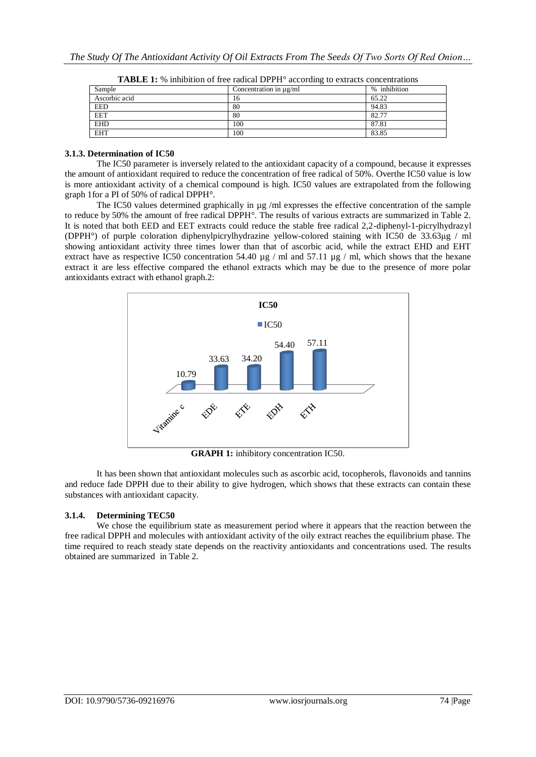| Sample        | Concentration in µg/ml | % inhibition |
|---------------|------------------------|--------------|
| Ascorbic acid | 16                     | 65.22        |
| EED           | 80                     | 94.83        |
| <b>EET</b>    | 80                     | 82.77        |
| <b>EHD</b>    | 100                    | 87.81        |
| <b>EHT</b>    | 100                    | 83.85        |

**TABLE 1:** % inhibition of free radical DPPH° according to extracts concentrations

#### **3.1.3. Determination of IC50**

The IC50 parameter is inversely related to the antioxidant capacity of a compound, because it expresses the amount of antioxidant required to reduce the concentration of free radical of 50%. Overthe IC50 value is low is more antioxidant activity of a chemical compound is high. IC50 values are extrapolated from the following graph 1for a PI of 50% of radical DPPH°.

The IC50 values determined graphically in ug /ml expresses the effective concentration of the sample to reduce by 50% the amount of free radical DPPH°. The results of various extracts are summarized in Table 2. It is noted that both EED and EET extracts could reduce the stable free radical 2,2-diphenyl-1-picrylhydrazyl (DPPH°) of purple coloration diphenylpicrylhydrazine yellow-colored staining with IC50 de 33.63μg / ml showing antioxidant activity three times lower than that of ascorbic acid, while the extract EHD and EHT extract have as respective IC50 concentration 54.40  $\mu$ g / ml and 57.11  $\mu$ g / ml, which shows that the hexane extract it are less effective compared the ethanol extracts which may be due to the presence of more polar antioxidants extract with ethanol graph.2:



**GRAPH 1:** inhibitory concentration IC50.

It has been shown that antioxidant molecules such as ascorbic acid, tocopherols, flavonoids and tannins and reduce fade DPPH due to their ability to give hydrogen, which shows that these extracts can contain these substances with antioxidant capacity.

## **3.1.4. Determining TEC50**

We chose the equilibrium state as measurement period where it appears that the reaction between the free radical DPPH and molecules with antioxidant activity of the oily extract reaches the equilibrium phase. The time required to reach steady state depends on the reactivity antioxidants and concentrations used. The results obtained are summarized in Table 2.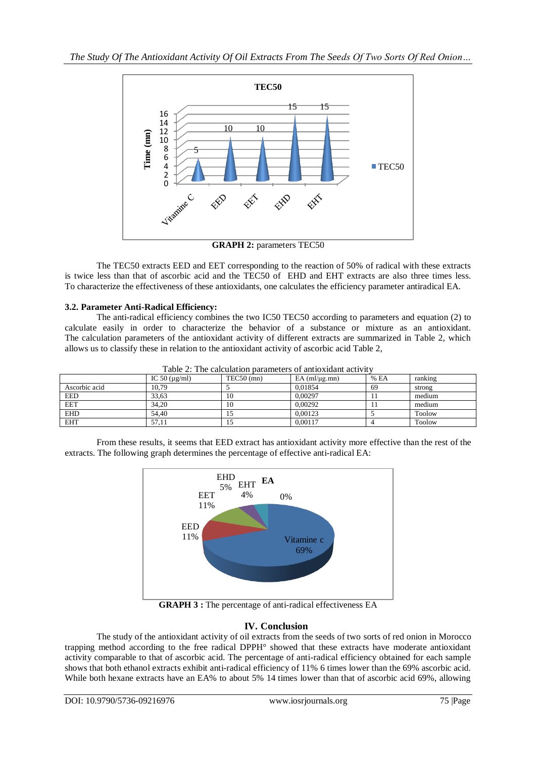

**GRAPH 2:** parameters TEC50

The TEC50 extracts EED and EET corresponding to the reaction of 50% of radical with these extracts is twice less than that of ascorbic acid and the TEC50 of EHD and EHT extracts are also three times less. To characterize the effectiveness of these antioxidants, one calculates the efficiency parameter antiradical EA.

## **3.2. Parameter Anti-Radical Efficiency:**

The anti-radical efficiency combines the two IC50 TEC50 according to parameters and equation (2) to calculate easily in order to characterize the behavior of a substance or mixture as an antioxidant. The calculation parameters of the antioxidant activity of different extracts are summarized in Table 2, which allows us to classify these in relation to the antioxidant activity of ascorbic acid Table 2,

| Table 2: The calculation parameters of antioxidant activity |                    |              |                       |       |         |  |
|-------------------------------------------------------------|--------------------|--------------|-----------------------|-------|---------|--|
|                                                             | IC 50 $(\mu$ g/ml) | $TEC50$ (mn) | $EA$ (ml/ $\mu$ g.mn) | % E A | ranking |  |
| Ascorbic acid                                               | 10.79              |              | 0.01854               | 69    | strong  |  |
| <b>EED</b>                                                  | 33.63              | 10           | 0.00297               |       | medium  |  |
| <b>EET</b>                                                  | 34.20              | 10           | 0.00292               |       | medium  |  |
| <b>EHD</b>                                                  | 54.40              |              | 0.00123               |       | Toolow  |  |
| <b>EHT</b>                                                  | 57,11              |              | 0.00117               |       | Toolow  |  |

Table 2: The calculation parameters of antioxidant activity

From these results, it seems that EED extract has antioxidant activity more effective than the rest of the extracts. The following graph determines the percentage of effective anti-radical EA:



**GRAPH 3 :** The percentage of anti-radical effectiveness EA

## **IV. Conclusion**

The study of the antioxidant activity of oil extracts from the seeds of two sorts of red onion in Morocco trapping method according to the free radical DPPH° showed that these extracts have moderate antioxidant activity comparable to that of ascorbic acid. The percentage of anti-radical efficiency obtained for each sample shows that both ethanol extracts exhibit anti-radical efficiency of 11% 6 times lower than the 69% ascorbic acid. While both hexane extracts have an EA% to about 5% 14 times lower than that of ascorbic acid 69%, allowing